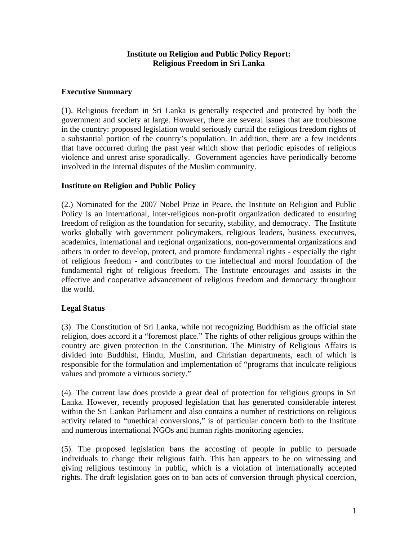## **Institute on Religion and Public Policy Report: Religious Freedom in Sri Lanka**

## **Executive Summary**

(1). Religious freedom in Sri Lanka is generally respected and protected by both the government and society at large. However, there are several issues that are troublesome in the country: proposed legislation would seriously curtail the religious freedom rights of a substantial portion of the country's population. In addition, there are a few incidents that have occurred during the past year which show that periodic episodes of religious violence and unrest arise sporadically. Government agencies have periodically become involved in the internal disputes of the Muslim community.

## **Institute on Religion and Public Policy**

(2.) Nominated for the 2007 Nobel Prize in Peace, the Institute on Religion and Public Policy is an international, inter-religious non-profit organization dedicated to ensuring freedom of religion as the foundation for security, stability, and democracy. The Institute works globally with government policymakers, religious leaders, business executives, academics, international and regional organizations, non-governmental organizations and others in order to develop, protect, and promote fundamental rights - especially the right of religious freedom - and contributes to the intellectual and moral foundation of the fundamental right of religious freedom. The Institute encourages and assists in the effective and cooperative advancement of religious freedom and democracy throughout the world.

# **Legal Status**

(3). The Constitution of Sri Lanka, while not recognizing Buddhism as the official state religion, does accord it a "foremost place." The rights of other religious groups within the country are given protection in the Constitution. The Ministry of Religious Affairs is divided into Buddhist, Hindu, Muslim, and Christian departments, each of which is responsible for the formulation and implementation of "programs that inculcate religious values and promote a virtuous society."

(4). The current law does provide a great deal of protection for religious groups in Sri Lanka. However, recently proposed legislation that has generated considerable interest within the Sri Lankan Parliament and also contains a number of restrictions on religious activity related to "unethical conversions," is of particular concern both to the Institute and numerous international NGOs and human rights monitoring agencies.

(5). The proposed legislation bans the accosting of people in public to persuade individuals to change their religious faith. This ban appears to be on witnessing and giving religious testimony in public, which is a violation of internationally accepted rights. The draft legislation goes on to ban acts of conversion through physical coercion,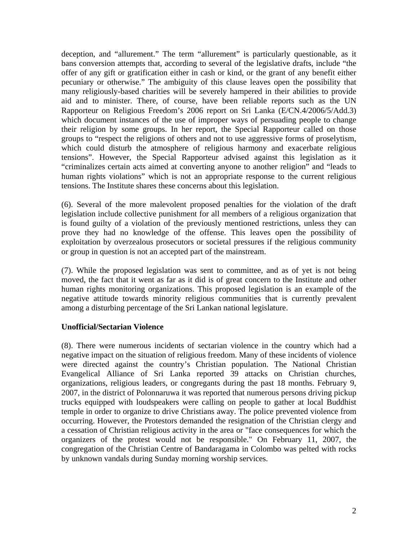deception, and "allurement." The term "allurement" is particularly questionable, as it bans conversion attempts that, according to several of the legislative drafts, include "the offer of any gift or gratification either in cash or kind, or the grant of any benefit either pecuniary or otherwise." The ambiguity of this clause leaves open the possibility that many religiously-based charities will be severely hampered in their abilities to provide aid and to minister. There, of course, have been reliable reports such as the UN Rapporteur on Religious Freedom's 2006 report on Sri Lanka (E/CN.4/2006/5/Add.3) which document instances of the use of improper ways of persuading people to change their religion by some groups. In her report, the Special Rapporteur called on those groups to "respect the religions of others and not to use aggressive forms of proselytism, which could disturb the atmosphere of religious harmony and exacerbate religious tensions". However, the Special Rapporteur advised against this legislation as it "criminalizes certain acts aimed at converting anyone to another religion" and "leads to human rights violations" which is not an appropriate response to the current religious tensions. The Institute shares these concerns about this legislation.

(6). Several of the more malevolent proposed penalties for the violation of the draft legislation include collective punishment for all members of a religious organization that is found guilty of a violation of the previously mentioned restrictions, unless they can prove they had no knowledge of the offense. This leaves open the possibility of exploitation by overzealous prosecutors or societal pressures if the religious community or group in question is not an accepted part of the mainstream.

(7). While the proposed legislation was sent to committee, and as of yet is not being moved, the fact that it went as far as it did is of great concern to the Institute and other human rights monitoring organizations. This proposed legislation is an example of the negative attitude towards minority religious communities that is currently prevalent among a disturbing percentage of the Sri Lankan national legislature.

# **Unofficial/Sectarian Violence**

(8). There were numerous incidents of sectarian violence in the country which had a negative impact on the situation of religious freedom. Many of these incidents of violence were directed against the country's Christian population. The National Christian Evangelical Alliance of Sri Lanka reported 39 attacks on Christian churches, organizations, religious leaders, or congregants during the past 18 months. February 9, 2007, in the district of Polonnaruwa it was reported that numerous persons driving pickup trucks equipped with loudspeakers were calling on people to gather at local Buddhist temple in order to organize to drive Christians away. The police prevented violence from occurring. However, the Protestors demanded the resignation of the Christian clergy and a cessation of Christian religious activity in the area or "face consequences for which the organizers of the protest would not be responsible." On February 11, 2007, the congregation of the Christian Centre of Bandaragama in Colombo was pelted with rocks by unknown vandals during Sunday morning worship services.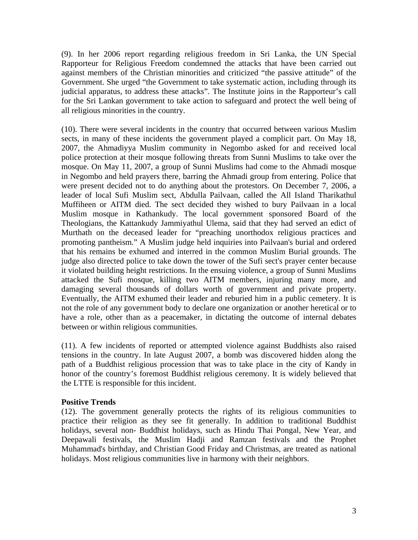(9). In her 2006 report regarding religious freedom in Sri Lanka, the UN Special Rapporteur for Religious Freedom condemned the attacks that have been carried out against members of the Christian minorities and criticized "the passive attitude" of the Government. She urged "the Government to take systematic action, including through its judicial apparatus, to address these attacks". The Institute joins in the Rapporteur's call for the Sri Lankan government to take action to safeguard and protect the well being of all religious minorities in the country.

(10). There were several incidents in the country that occurred between various Muslim sects, in many of these incidents the government played a complicit part. On May 18, 2007, the Ahmadiyya Muslim community in Negombo asked for and received local police protection at their mosque following threats from Sunni Muslims to take over the mosque. On May 11, 2007, a group of Sunni Muslims had come to the Ahmadi mosque in Negombo and held prayers there, barring the Ahmadi group from entering. Police that were present decided not to do anything about the protestors. On December 7, 2006, a leader of local Sufi Muslim sect, Abdulla Pailvaan, called the All Island Tharikathul Muffiheen or AITM died. The sect decided they wished to bury Pailvaan in a local Muslim mosque in Kathankudy. The local government sponsored Board of the Theologians, the Kattankudy Jammiyathul Ulema, said that they had served an edict of Murthath on the deceased leader for "preaching unorthodox religious practices and promoting pantheism." A Muslim judge held inquiries into Pailvaan's burial and ordered that his remains be exhumed and interred in the common Muslim Burial grounds. The judge also directed police to take down the tower of the Sufi sect's prayer center because it violated building height restrictions. In the ensuing violence, a group of Sunni Muslims attacked the Sufi mosque, killing two AITM members, injuring many more, and damaging several thousands of dollars worth of government and private property. Eventually, the AITM exhumed their leader and reburied him in a public cemetery. It is not the role of any government body to declare one organization or another heretical or to have a role, other than as a peacemaker, in dictating the outcome of internal debates between or within religious communities.

(11). A few incidents of reported or attempted violence against Buddhists also raised tensions in the country. In late August 2007, a bomb was discovered hidden along the path of a Buddhist religious procession that was to take place in the city of Kandy in honor of the country's foremost Buddhist religious ceremony. It is widely believed that the LTTE is responsible for this incident.

#### **Positive Trends**

(12). The government generally protects the rights of its religious communities to practice their religion as they see fit generally. In addition to traditional Buddhist holidays, several non- Buddhist holidays, such as Hindu Thai Pongal, New Year, and Deepawali festivals, the Muslim Hadji and Ramzan festivals and the Prophet Muhammad's birthday, and Christian Good Friday and Christmas, are treated as national holidays. Most religious communities live in harmony with their neighbors.